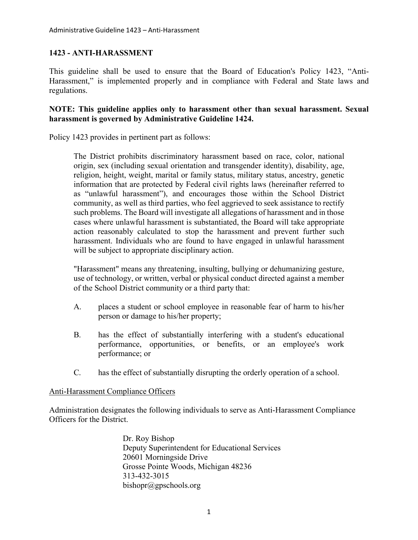# **1423 - ANTI-HARASSMENT**

This guideline shall be used to ensure that the Board of Education's Policy 1423, "Anti-Harassment," is implemented properly and in compliance with Federal and State laws and regulations.

## **NOTE: This guideline applies only to harassment other than sexual harassment. Sexual harassment is governed by Administrative Guideline 1424.**

Policy 1423 provides in pertinent part as follows:

The District prohibits discriminatory harassment based on race, color, national origin, sex (including sexual orientation and transgender identity), disability, age, religion, height, weight, marital or family status, military status, ancestry, genetic information that are protected by Federal civil rights laws (hereinafter referred to as "unlawful harassment"), and encourages those within the School District community, as well as third parties, who feel aggrieved to seek assistance to rectify such problems. The Board will investigate all allegations of harassment and in those cases where unlawful harassment is substantiated, the Board will take appropriate action reasonably calculated to stop the harassment and prevent further such harassment. Individuals who are found to have engaged in unlawful harassment will be subject to appropriate disciplinary action.

"Harassment" means any threatening, insulting, bullying or dehumanizing gesture, use of technology, or written, verbal or physical conduct directed against a member of the School District community or a third party that:

- A. places a student or school employee in reasonable fear of harm to his/her person or damage to his/her property;
- B. has the effect of substantially interfering with a student's educational performance, opportunities, or benefits, or an employee's work performance; or
- C. has the effect of substantially disrupting the orderly operation of a school.

### Anti-Harassment Compliance Officers

Administration designates the following individuals to serve as Anti-Harassment Compliance Officers for the District.

> Dr. Roy Bishop Deputy Superintendent for Educational Services 20601 Morningside Drive Grosse Pointe Woods, Michigan 48236 313-432-3015 bishopr@gpschools.org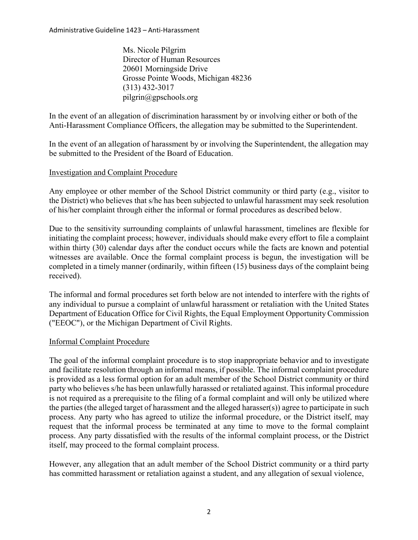Administrative Guideline 1423 – Anti‐Harassment

Ms. Nicole Pilgrim Director of Human Resources 20601 Morningside Drive Grosse Pointe Woods, Michigan 48236 (313) 432-3017 [pilgrin@gpschools.org](mailto:pilgrin@gpschools.org)

In the event of an allegation of discrimination harassment by or involving either or both of the Anti-Harassment Compliance Officers, the allegation may be submitted to the Superintendent.

In the event of an allegation of harassment by or involving the Superintendent, the allegation may be submitted to the President of the Board of Education.

### Investigation and Complaint Procedure

Any employee or other member of the School District community or third party (e.g., visitor to the District) who believes that s/he has been subjected to unlawful harassment may seek resolution of his/her complaint through either the informal or formal procedures as described below.

Due to the sensitivity surrounding complaints of unlawful harassment, timelines are flexible for initiating the complaint process; however, individuals should make every effort to file a complaint within thirty (30) calendar days after the conduct occurs while the facts are known and potential witnesses are available. Once the formal complaint process is begun, the investigation will be completed in a timely manner (ordinarily, within fifteen (15) business days of the complaint being received).

The informal and formal procedures set forth below are not intended to interfere with the rights of any individual to pursue a complaint of unlawful harassment or retaliation with the United States Department of Education Office for Civil Rights, the Equal Employment Opportunity Commission ("EEOC"), or the Michigan Department of Civil Rights.

#### Informal Complaint Procedure

The goal of the informal complaint procedure is to stop inappropriate behavior and to investigate and facilitate resolution through an informal means, if possible. The informal complaint procedure is provided as a less formal option for an adult member of the School District community or third party who believes s/he has been unlawfully harassed or retaliated against. This informal procedure is not required as a prerequisite to the filing of a formal complaint and will only be utilized where the parties (the alleged target of harassment and the alleged harasser(s)) agree to participate in such process. Any party who has agreed to utilize the informal procedure, or the District itself, may request that the informal process be terminated at any time to move to the formal complaint process. Any party dissatisfied with the results of the informal complaint process, or the District itself, may proceed to the formal complaint process.

However, any allegation that an adult member of the School District community or a third party has committed harassment or retaliation against a student, and any allegation of sexual violence,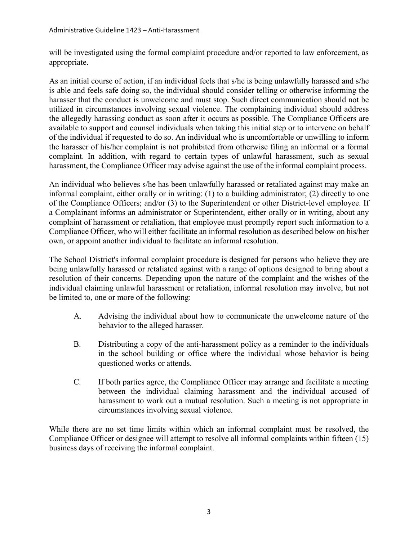will be investigated using the formal complaint procedure and/or reported to law enforcement, as appropriate.

As an initial course of action, if an individual feels that s/he is being unlawfully harassed and s/he is able and feels safe doing so, the individual should consider telling or otherwise informing the harasser that the conduct is unwelcome and must stop. Such direct communication should not be utilized in circumstances involving sexual violence. The complaining individual should address the allegedly harassing conduct as soon after it occurs as possible. The Compliance Officers are available to support and counsel individuals when taking this initial step or to intervene on behalf of the individual if requested to do so. An individual who is uncomfortable or unwilling to inform the harasser of his/her complaint is not prohibited from otherwise filing an informal or a formal complaint. In addition, with regard to certain types of unlawful harassment, such as sexual harassment, the Compliance Officer may advise against the use of the informal complaint process.

An individual who believes s/he has been unlawfully harassed or retaliated against may make an informal complaint, either orally or in writing: (1) to a building administrator; (2) directly to one of the Compliance Officers; and/or (3) to the Superintendent or other District-level employee. If a Complainant informs an administrator or Superintendent, either orally or in writing, about any complaint of harassment or retaliation, that employee must promptly report such information to a Compliance Officer, who will either facilitate an informal resolution as described below on his/her own, or appoint another individual to facilitate an informal resolution.

The School District's informal complaint procedure is designed for persons who believe they are being unlawfully harassed or retaliated against with a range of options designed to bring about a resolution of their concerns. Depending upon the nature of the complaint and the wishes of the individual claiming unlawful harassment or retaliation, informal resolution may involve, but not be limited to, one or more of the following:

- A. Advising the individual about how to communicate the unwelcome nature of the behavior to the alleged harasser.
- B. Distributing a copy of the anti-harassment policy as a reminder to the individuals in the school building or office where the individual whose behavior is being questioned works or attends.
- C. If both parties agree, the Compliance Officer may arrange and facilitate a meeting between the individual claiming harassment and the individual accused of harassment to work out a mutual resolution. Such a meeting is not appropriate in circumstances involving sexual violence.

While there are no set time limits within which an informal complaint must be resolved, the Compliance Officer or designee will attempt to resolve all informal complaints within fifteen (15) business days of receiving the informal complaint.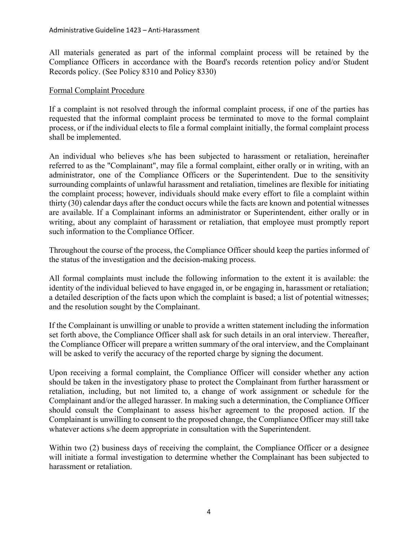All materials generated as part of the informal complaint process will be retained by the Compliance Officers in accordance with the Board's records retention policy and/or Student Records policy. (See Policy 8310 and Policy 8330)

### Formal Complaint Procedure

If a complaint is not resolved through the informal complaint process, if one of the parties has requested that the informal complaint process be terminated to move to the formal complaint process, or if the individual elects to file a formal complaint initially, the formal complaint process shall be implemented.

An individual who believes s/he has been subjected to harassment or retaliation, hereinafter referred to as the "Complainant", may file a formal complaint, either orally or in writing, with an administrator, one of the Compliance Officers or the Superintendent. Due to the sensitivity surrounding complaints of unlawful harassment and retaliation, timelines are flexible for initiating the complaint process; however, individuals should make every effort to file a complaint within thirty (30) calendar days after the conduct occurs while the facts are known and potential witnesses are available. If a Complainant informs an administrator or Superintendent, either orally or in writing, about any complaint of harassment or retaliation, that employee must promptly report such information to the Compliance Officer.

Throughout the course of the process, the Compliance Officer should keep the parties informed of the status of the investigation and the decision-making process.

All formal complaints must include the following information to the extent it is available: the identity of the individual believed to have engaged in, or be engaging in, harassment or retaliation; a detailed description of the facts upon which the complaint is based; a list of potential witnesses; and the resolution sought by the Complainant.

If the Complainant is unwilling or unable to provide a written statement including the information set forth above, the Compliance Officer shall ask for such details in an oral interview. Thereafter, the Compliance Officer will prepare a written summary of the oral interview, and the Complainant will be asked to verify the accuracy of the reported charge by signing the document.

Upon receiving a formal complaint, the Compliance Officer will consider whether any action should be taken in the investigatory phase to protect the Complainant from further harassment or retaliation, including, but not limited to, a change of work assignment or schedule for the Complainant and/or the alleged harasser. In making such a determination, the Compliance Officer should consult the Complainant to assess his/her agreement to the proposed action. If the Complainant is unwilling to consent to the proposed change, the Compliance Officer may still take whatever actions s/he deem appropriate in consultation with the Superintendent.

Within two (2) business days of receiving the complaint, the Compliance Officer or a designee will initiate a formal investigation to determine whether the Complainant has been subjected to harassment or retaliation.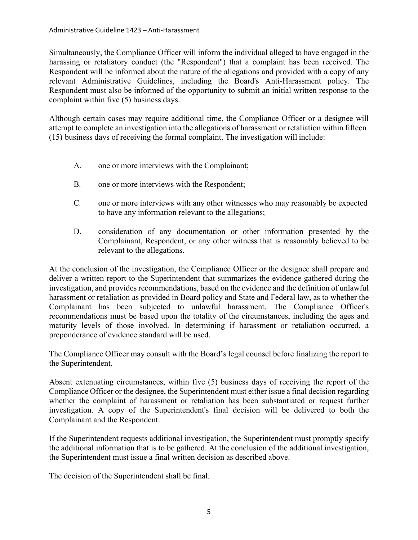Simultaneously, the Compliance Officer will inform the individual alleged to have engaged in the harassing or retaliatory conduct (the "Respondent") that a complaint has been received. The Respondent will be informed about the nature of the allegations and provided with a copy of any relevant Administrative Guidelines, including the Board's Anti-Harassment policy. The Respondent must also be informed of the opportunity to submit an initial written response to the complaint within five (5) business days.

Although certain cases may require additional time, the Compliance Officer or a designee will attempt to complete an investigation into the allegations of harassment or retaliation within fifteen (15) business days of receiving the formal complaint. The investigation will include:

- A. one or more interviews with the Complainant;
- B. one or more interviews with the Respondent;
- C. one or more interviews with any other witnesses who may reasonably be expected to have any information relevant to the allegations;
- D. consideration of any documentation or other information presented by the Complainant, Respondent, or any other witness that is reasonably believed to be relevant to the allegations.

At the conclusion of the investigation, the Compliance Officer or the designee shall prepare and deliver a written report to the Superintendent that summarizes the evidence gathered during the investigation, and provides recommendations, based on the evidence and the definition of unlawful harassment or retaliation as provided in Board policy and State and Federal law, as to whether the Complainant has been subjected to unlawful harassment. The Compliance Officer's recommendations must be based upon the totality of the circumstances, including the ages and maturity levels of those involved. In determining if harassment or retaliation occurred, a preponderance of evidence standard will be used.

The Compliance Officer may consult with the Board's legal counsel before finalizing the report to the Superintendent.

Absent extenuating circumstances, within five (5) business days of receiving the report of the Compliance Officer or the designee, the Superintendent must either issue a final decision regarding whether the complaint of harassment or retaliation has been substantiated or request further investigation. A copy of the Superintendent's final decision will be delivered to both the Complainant and the Respondent.

If the Superintendent requests additional investigation, the Superintendent must promptly specify the additional information that is to be gathered. At the conclusion of the additional investigation, the Superintendent must issue a final written decision as described above.

The decision of the Superintendent shall be final.